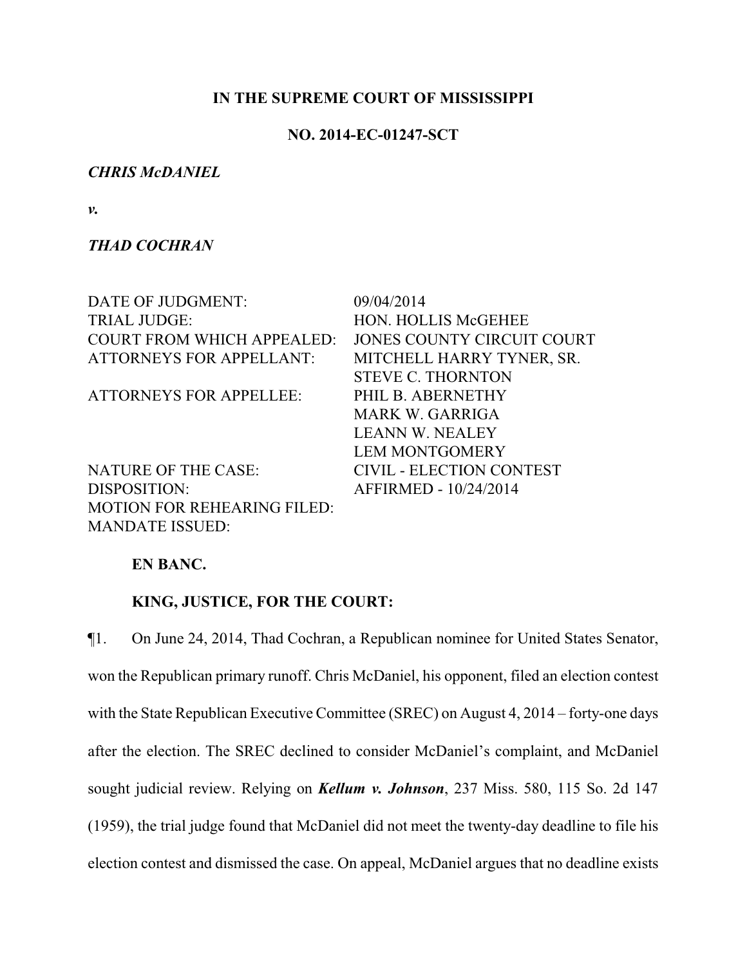# **IN THE SUPREME COURT OF MISSISSIPPI**

# **NO. 2014-EC-01247-SCT**

# *CHRIS McDANIEL*

*v.*

# *THAD COCHRAN*

| DATE OF JUDGMENT:                  | 09/04/2014                 |
|------------------------------------|----------------------------|
| <b>TRIAL JUDGE:</b>                | <b>HON. HOLLIS McGEHEE</b> |
| <b>COURT FROM WHICH APPEALED:</b>  | JONES COUNTY CIRCUIT COURT |
| <b>ATTORNEYS FOR APPELLANT:</b>    | MITCHELL HARRY TYNER, SR.  |
|                                    | <b>STEVE C. THORNTON</b>   |
| <b>ATTORNEYS FOR APPELLEE:</b>     | PHIL B. ABERNETHY          |
|                                    | <b>MARK W. GARRIGA</b>     |
|                                    | <b>LEANN W. NEALEY</b>     |
|                                    | <b>LEM MONTGOMERY</b>      |
| <b>NATURE OF THE CASE:</b>         | CIVIL - ELECTION CONTEST   |
| DISPOSITION:                       | AFFIRMED - 10/24/2014      |
| <b>MOTION FOR REHEARING FILED:</b> |                            |
| <b>MANDATE ISSUED:</b>             |                            |

# **EN BANC.**

# **KING, JUSTICE, FOR THE COURT:**

¶1. On June 24, 2014, Thad Cochran, a Republican nominee for United States Senator, won the Republican primary runoff. Chris McDaniel, his opponent, filed an election contest with the State Republican Executive Committee (SREC) on August 4, 2014 – forty-one days after the election. The SREC declined to consider McDaniel's complaint, and McDaniel sought judicial review. Relying on *Kellum v. Johnson*, 237 Miss. 580, 115 So. 2d 147 (1959), the trial judge found that McDaniel did not meet the twenty-day deadline to file his election contest and dismissed the case. On appeal, McDaniel argues that no deadline exists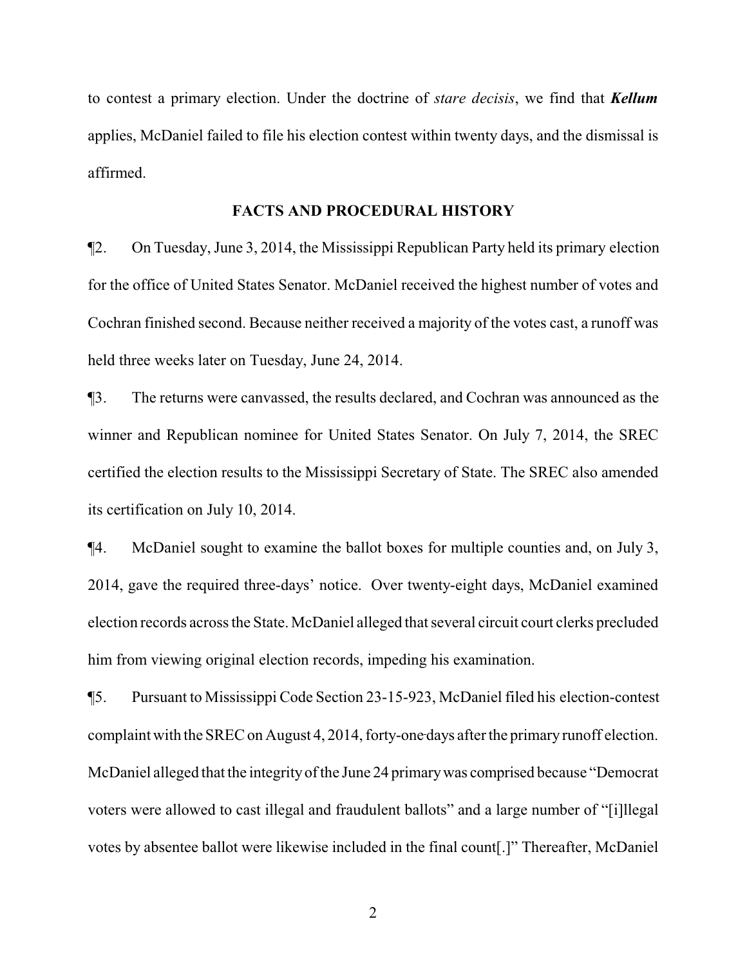to contest a primary election. Under the doctrine of *stare decisis*, we find that *Kellum* applies, McDaniel failed to file his election contest within twenty days, and the dismissal is affirmed.

#### **FACTS AND PROCEDURAL HISTORY**

¶2. On Tuesday, June 3, 2014, the Mississippi Republican Party held its primary election for the office of United States Senator. McDaniel received the highest number of votes and Cochran finished second. Because neither received a majority of the votes cast, a runoff was held three weeks later on Tuesday, June 24, 2014.

¶3. The returns were canvassed, the results declared, and Cochran was announced as the winner and Republican nominee for United States Senator. On July 7, 2014, the SREC certified the election results to the Mississippi Secretary of State. The SREC also amended its certification on July 10, 2014.

¶4. McDaniel sought to examine the ballot boxes for multiple counties and, on July 3, 2014, gave the required three-days' notice. Over twenty-eight days, McDaniel examined election records across the State. McDaniel alleged that several circuit court clerks precluded him from viewing original election records, impeding his examination.

¶5. Pursuant to Mississippi Code Section 23-15-923, McDaniel filed his election-contest complaint with the SREC on August 4, 2014, forty-one days after the primary runoff election. McDaniel alleged that the integrity of the June 24 primary was comprised because "Democrat" voters were allowed to cast illegal and fraudulent ballots" and a large number of "[i]llegal votes by absentee ballot were likewise included in the final count[.]" Thereafter, McDaniel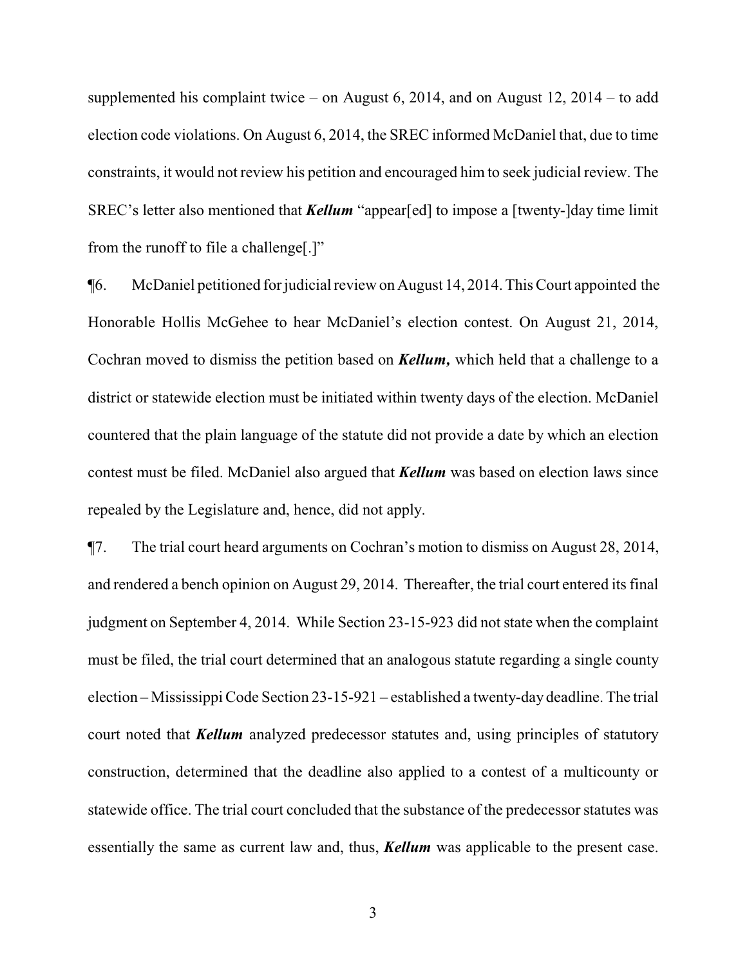supplemented his complaint twice – on August 6, 2014, and on August 12, 2014 – to add election code violations. On August 6, 2014, the SREC informed McDaniel that, due to time constraints, it would not review his petition and encouraged him to seek judicial review. The SREC's letter also mentioned that *Kellum* "appear[ed] to impose a [twenty-]day time limit from the runoff to file a challenge[.]"

¶6. McDaniel petitioned for judicial review on August 14, 2014. This Court appointed the Honorable Hollis McGehee to hear McDaniel's election contest. On August 21, 2014, Cochran moved to dismiss the petition based on *Kellum,* which held that a challenge to a district or statewide election must be initiated within twenty days of the election. McDaniel countered that the plain language of the statute did not provide a date by which an election contest must be filed. McDaniel also argued that *Kellum* was based on election laws since repealed by the Legislature and, hence, did not apply.

¶7. The trial court heard arguments on Cochran's motion to dismiss on August 28, 2014, and rendered a bench opinion on August 29, 2014. Thereafter, the trial court entered its final judgment on September 4, 2014. While Section 23-15-923 did not state when the complaint must be filed, the trial court determined that an analogous statute regarding a single county election – Mississippi Code Section 23-15-921 – established a twenty-day deadline. The trial court noted that *Kellum* analyzed predecessor statutes and, using principles of statutory construction, determined that the deadline also applied to a contest of a multicounty or statewide office. The trial court concluded that the substance of the predecessor statutes was essentially the same as current law and, thus, *Kellum* was applicable to the present case.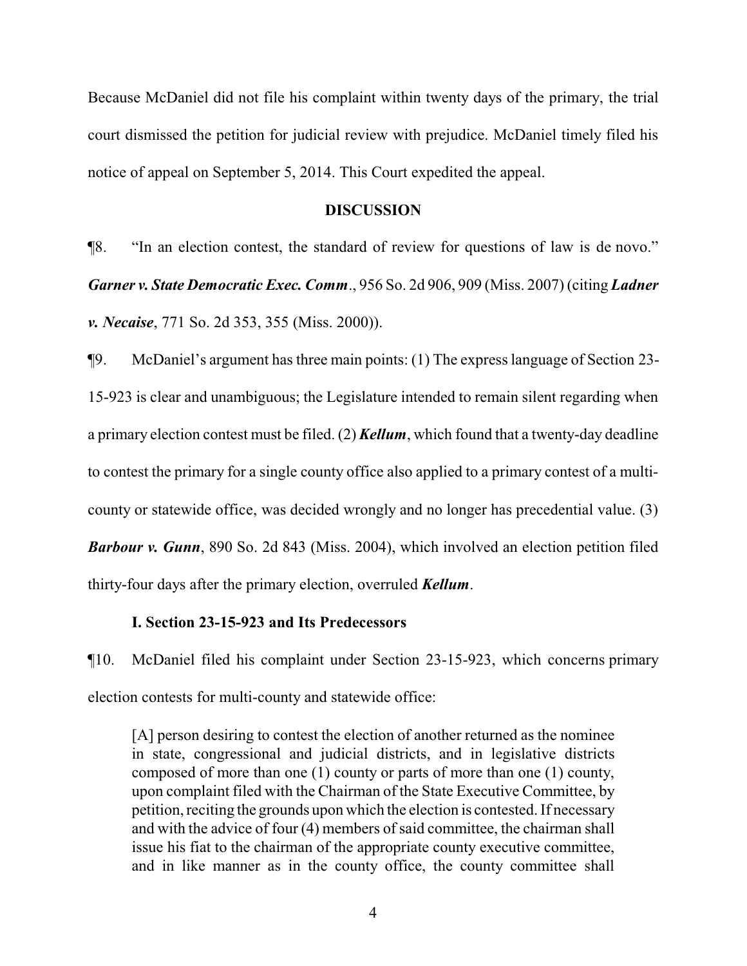Because McDaniel did not file his complaint within twenty days of the primary, the trial court dismissed the petition for judicial review with prejudice. McDaniel timely filed his notice of appeal on September 5, 2014. This Court expedited the appeal.

#### **DISCUSSION**

¶8. "In an election contest, the standard of review for questions of law is de novo." *Garner v. State Democratic Exec. Comm*., 956 So. 2d 906, 909 (Miss. 2007) (citing *Ladner v. Necaise*, 771 So. 2d 353, 355 (Miss. 2000)).

¶9. McDaniel's argument has three main points: (1) The express language of Section 23- 15-923 is clear and unambiguous; the Legislature intended to remain silent regarding when a primary election contest must be filed. (2) *Kellum*, which found that a twenty-day deadline to contest the primary for a single county office also applied to a primary contest of a multicounty or statewide office, was decided wrongly and no longer has precedential value. (3) *Barbour v. Gunn*, 890 So. 2d 843 (Miss. 2004), which involved an election petition filed thirty-four days after the primary election, overruled *Kellum*.

# **I. Section 23-15-923 and Its Predecessors**

¶10. McDaniel filed his complaint under Section 23-15-923, which concerns primary election contests for multi-county and statewide office:

[A] person desiring to contest the election of another returned as the nominee in state, congressional and judicial districts, and in legislative districts composed of more than one (1) county or parts of more than one (1) county, upon complaint filed with the Chairman of the State Executive Committee, by petition, reciting the grounds upon which the election is contested. If necessary and with the advice of four (4) members of said committee, the chairman shall issue his fiat to the chairman of the appropriate county executive committee, and in like manner as in the county office, the county committee shall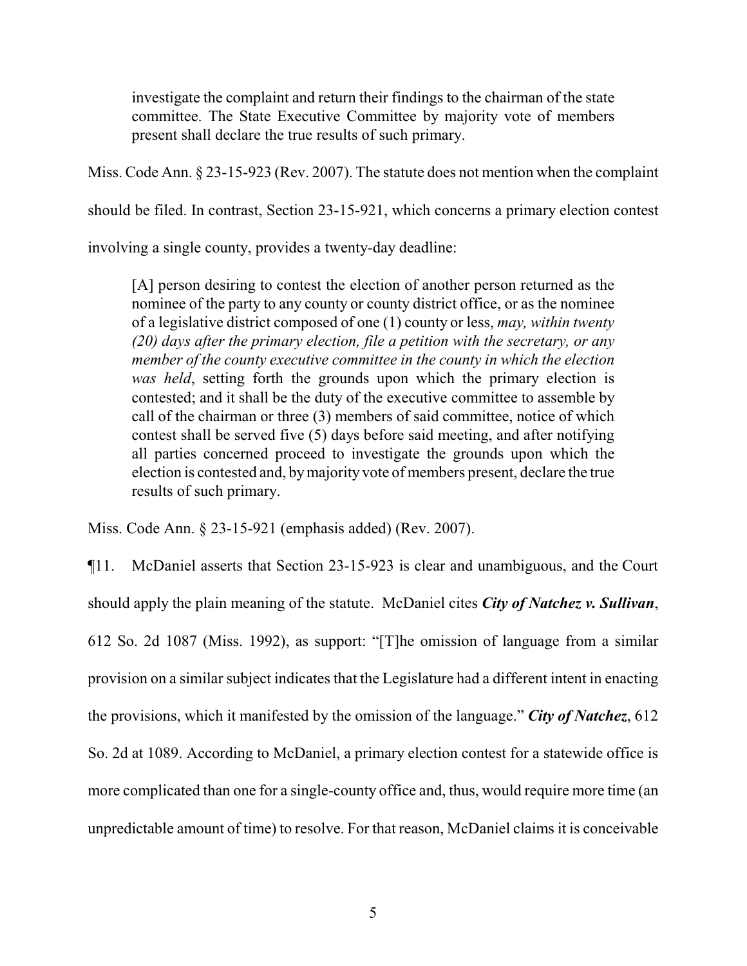investigate the complaint and return their findings to the chairman of the state committee. The State Executive Committee by majority vote of members present shall declare the true results of such primary.

Miss. Code Ann. § 23-15-923 (Rev. 2007). The statute does not mention when the complaint

should be filed. In contrast, Section 23-15-921, which concerns a primary election contest

involving a single county, provides a twenty-day deadline:

[A] person desiring to contest the election of another person returned as the nominee of the party to any county or county district office, or as the nominee of a legislative district composed of one (1) county or less, *may, within twenty (20) days after the primary election, file a petition with the secretary, or any member of the county executive committee in the county in which the election was held*, setting forth the grounds upon which the primary election is contested; and it shall be the duty of the executive committee to assemble by call of the chairman or three (3) members of said committee, notice of which contest shall be served five (5) days before said meeting, and after notifying all parties concerned proceed to investigate the grounds upon which the election is contested and, bymajority vote of members present, declare the true results of such primary.

Miss. Code Ann. § 23-15-921 (emphasis added) (Rev. 2007).

¶11. McDaniel asserts that Section 23-15-923 is clear and unambiguous, and the Court should apply the plain meaning of the statute. McDaniel cites *City of Natchez v. Sullivan*, 612 So. 2d 1087 (Miss. 1992), as support: "[T]he omission of language from a similar provision on a similar subject indicates that the Legislature had a different intent in enacting the provisions, which it manifested by the omission of the language." *City of Natchez*, 612 So. 2d at 1089. According to McDaniel, a primary election contest for a statewide office is more complicated than one for a single-county office and, thus, would require more time (an unpredictable amount of time) to resolve. For that reason, McDaniel claims it is conceivable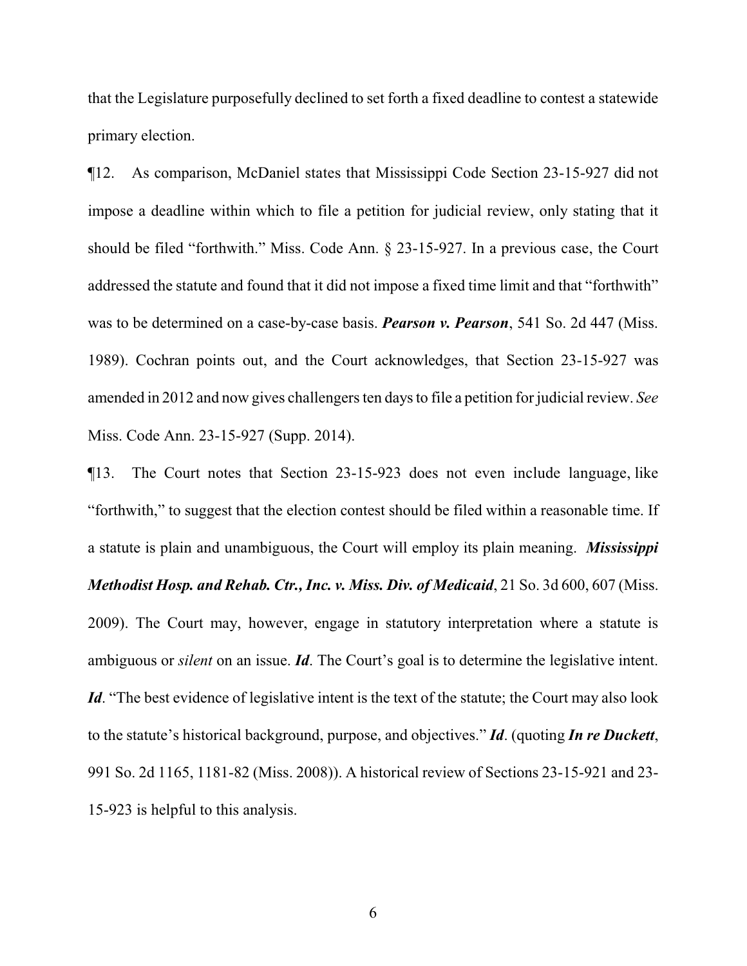that the Legislature purposefully declined to set forth a fixed deadline to contest a statewide primary election.

¶12. As comparison, McDaniel states that Mississippi Code Section 23-15-927 did not impose a deadline within which to file a petition for judicial review, only stating that it should be filed "forthwith." Miss. Code Ann. § 23-15-927. In a previous case, the Court addressed the statute and found that it did not impose a fixed time limit and that "forthwith" was to be determined on a case-by-case basis. *Pearson v. Pearson*, 541 So. 2d 447 (Miss. 1989). Cochran points out, and the Court acknowledges, that Section 23-15-927 was amended in 2012 and now gives challengers ten days to file a petition for judicial review. *See* Miss. Code Ann. 23-15-927 (Supp. 2014).

¶13. The Court notes that Section 23-15-923 does not even include language, like "forthwith," to suggest that the election contest should be filed within a reasonable time. If a statute is plain and unambiguous, the Court will employ its plain meaning. *Mississippi Methodist Hosp. and Rehab. Ctr., Inc. v. Miss. Div. of Medicaid*, 21 So. 3d 600, 607 (Miss. 2009). The Court may, however, engage in statutory interpretation where a statute is ambiguous or *silent* on an issue. *Id*. The Court's goal is to determine the legislative intent. *Id.* "The best evidence of legislative intent is the text of the statute; the Court may also look to the statute's historical background, purpose, and objectives." *Id*. (quoting *In re Duckett*, 991 So. 2d 1165, 1181-82 (Miss. 2008)). A historical review of Sections 23-15-921 and 23- 15-923 is helpful to this analysis.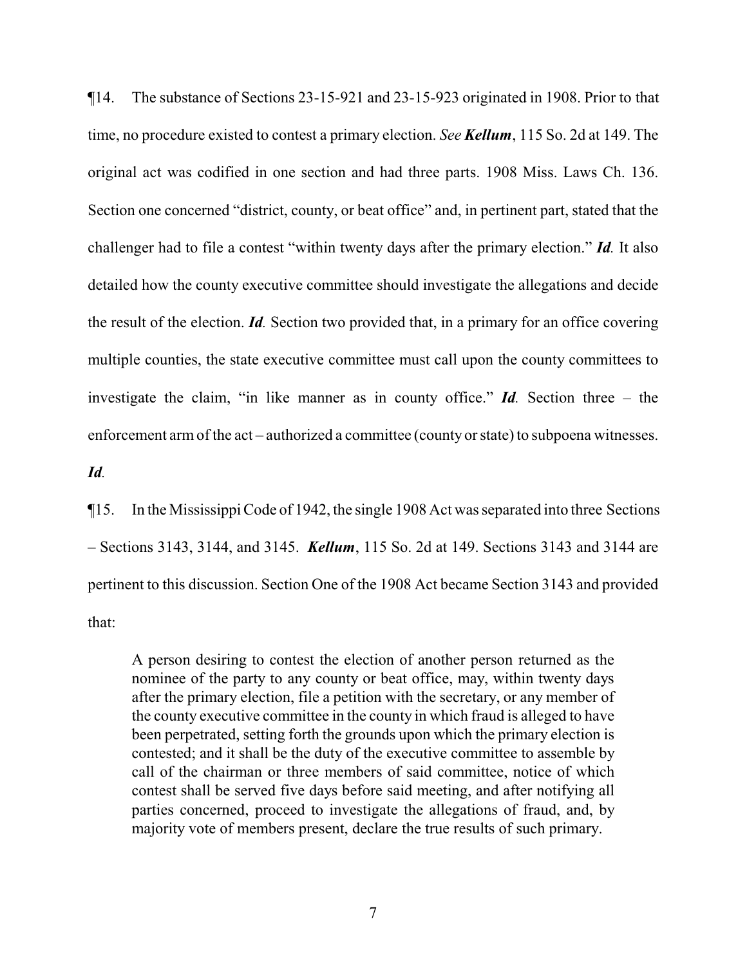¶14. The substance of Sections 23-15-921 and 23-15-923 originated in 1908. Prior to that time, no procedure existed to contest a primary election. *See Kellum*, 115 So. 2d at 149. The original act was codified in one section and had three parts. 1908 Miss. Laws Ch. 136. Section one concerned "district, county, or beat office" and, in pertinent part, stated that the challenger had to file a contest "within twenty days after the primary election." *Id.* It also detailed how the county executive committee should investigate the allegations and decide the result of the election. *Id.* Section two provided that, in a primary for an office covering multiple counties, the state executive committee must call upon the county committees to investigate the claim, "in like manner as in county office." *Id.* Section three – the enforcement arm of the act – authorized a committee (county or state) to subpoena witnesses.

# *Id.*

¶15. In the Mississippi Code of 1942, the single 1908 Act was separated into three Sections – Sections 3143, 3144, and 3145. *Kellum*, 115 So. 2d at 149. Sections 3143 and 3144 are pertinent to this discussion. Section One of the 1908 Act became Section 3143 and provided that:

A person desiring to contest the election of another person returned as the nominee of the party to any county or beat office, may, within twenty days after the primary election, file a petition with the secretary, or any member of the county executive committee in the county in which fraud is alleged to have been perpetrated, setting forth the grounds upon which the primary election is contested; and it shall be the duty of the executive committee to assemble by call of the chairman or three members of said committee, notice of which contest shall be served five days before said meeting, and after notifying all parties concerned, proceed to investigate the allegations of fraud, and, by majority vote of members present, declare the true results of such primary.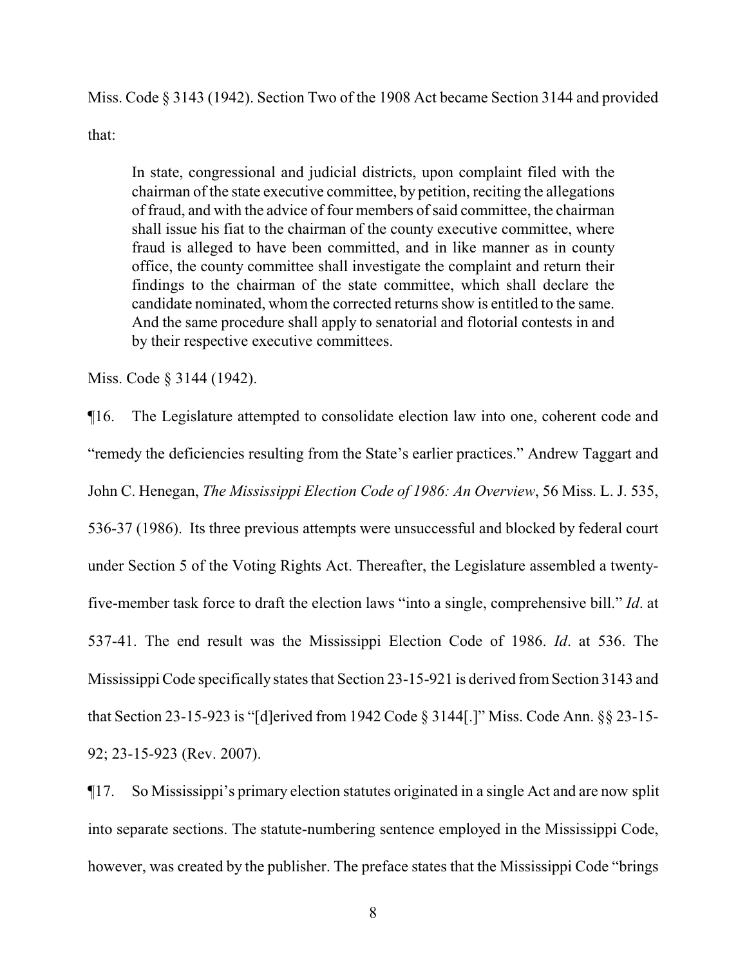Miss. Code § 3143 (1942). Section Two of the 1908 Act became Section 3144 and provided

that:

In state, congressional and judicial districts, upon complaint filed with the chairman of the state executive committee, by petition, reciting the allegations of fraud, and with the advice of four members ofsaid committee, the chairman shall issue his fiat to the chairman of the county executive committee, where fraud is alleged to have been committed, and in like manner as in county office, the county committee shall investigate the complaint and return their findings to the chairman of the state committee, which shall declare the candidate nominated, whom the corrected returns show is entitled to the same. And the same procedure shall apply to senatorial and flotorial contests in and by their respective executive committees.

Miss. Code § 3144 (1942).

¶16. The Legislature attempted to consolidate election law into one, coherent code and "remedy the deficiencies resulting from the State's earlier practices." Andrew Taggart and John C. Henegan, *The Mississippi Election Code of 1986: An Overview*, 56 Miss. L. J. 535, 536-37 (1986). Its three previous attempts were unsuccessful and blocked by federal court under Section 5 of the Voting Rights Act. Thereafter, the Legislature assembled a twentyfive-member task force to draft the election laws "into a single, comprehensive bill." *Id*. at 537-41. The end result was the Mississippi Election Code of 1986. *Id*. at 536. The Mississippi Code specifically states that Section 23-15-921 is derived fromSection 3143 and that Section 23-15-923 is "[d]erived from 1942 Code § 3144[.]" Miss. Code Ann. §§ 23-15- 92; 23-15-923 (Rev. 2007).

¶17. So Mississippi's primary election statutes originated in a single Act and are now split into separate sections. The statute-numbering sentence employed in the Mississippi Code, however, was created by the publisher. The preface states that the Mississippi Code "brings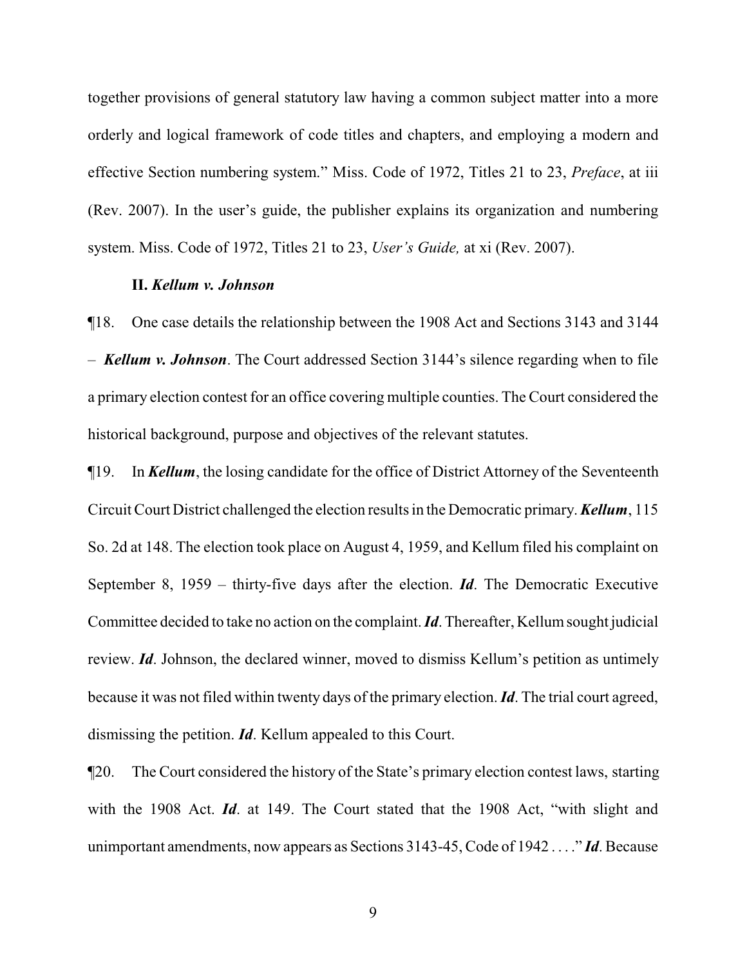together provisions of general statutory law having a common subject matter into a more orderly and logical framework of code titles and chapters, and employing a modern and effective Section numbering system." Miss. Code of 1972, Titles 21 to 23, *Preface*, at iii (Rev. 2007). In the user's guide, the publisher explains its organization and numbering system. Miss. Code of 1972, Titles 21 to 23, *User's Guide,* at xi (Rev. 2007).

#### **II.** *Kellum v. Johnson*

¶18. One case details the relationship between the 1908 Act and Sections 3143 and 3144 – *Kellum v. Johnson*. The Court addressed Section 3144's silence regarding when to file a primary election contest for an office covering multiple counties. The Court considered the historical background, purpose and objectives of the relevant statutes.

¶19. In *Kellum*, the losing candidate for the office of District Attorney of the Seventeenth Circuit Court District challenged the election results in the Democratic primary. *Kellum*, 115 So. 2d at 148. The election took place on August 4, 1959, and Kellum filed his complaint on September 8, 1959 – thirty-five days after the election. *Id*. The Democratic Executive Committee decided to take no action on the complaint. *Id*. Thereafter, Kellumsought judicial review. *Id*. Johnson, the declared winner, moved to dismiss Kellum's petition as untimely because it was not filed within twenty days of the primary election. *Id*. The trial court agreed, dismissing the petition. *Id*. Kellum appealed to this Court.

¶20. The Court considered the history of the State's primary election contest laws, starting with the 1908 Act. *Id*. at 149. The Court stated that the 1908 Act, "with slight and unimportant amendments, now appears as Sections 3143-45, Code of 1942 . . . ." *Id*. Because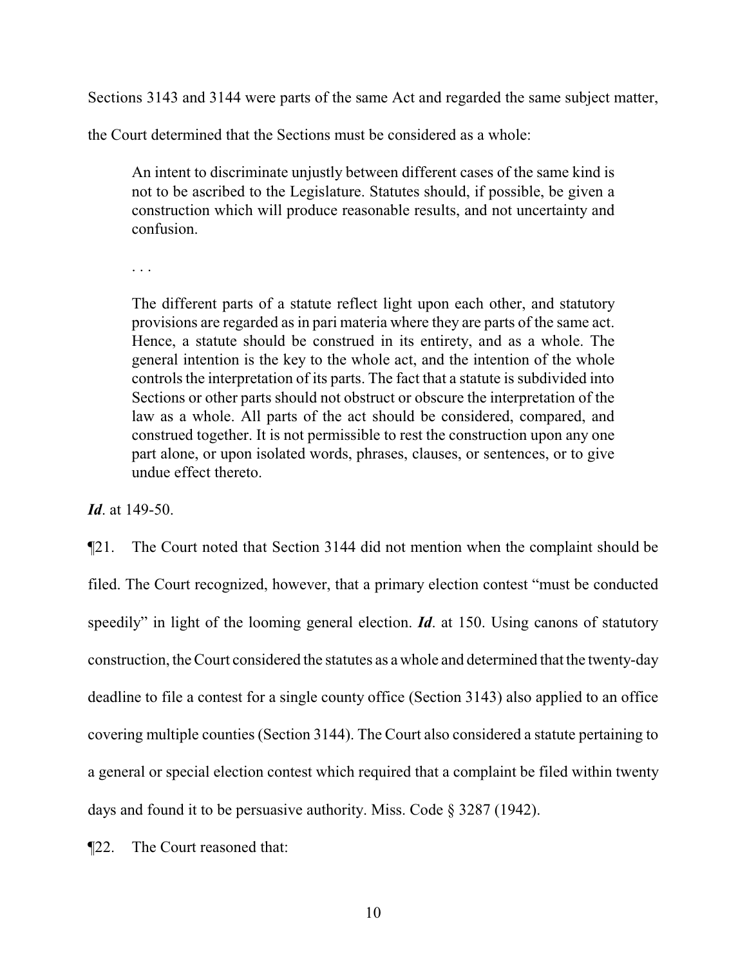Sections 3143 and 3144 were parts of the same Act and regarded the same subject matter,

the Court determined that the Sections must be considered as a whole:

An intent to discriminate unjustly between different cases of the same kind is not to be ascribed to the Legislature. Statutes should, if possible, be given a construction which will produce reasonable results, and not uncertainty and confusion.

. . .

The different parts of a statute reflect light upon each other, and statutory provisions are regarded as in pari materia where they are parts of the same act. Hence, a statute should be construed in its entirety, and as a whole. The general intention is the key to the whole act, and the intention of the whole controls the interpretation of its parts. The fact that a statute is subdivided into Sections or other parts should not obstruct or obscure the interpretation of the law as a whole. All parts of the act should be considered, compared, and construed together. It is not permissible to rest the construction upon any one part alone, or upon isolated words, phrases, clauses, or sentences, or to give undue effect thereto.

*Id*. at 149-50.

¶21. The Court noted that Section 3144 did not mention when the complaint should be filed. The Court recognized, however, that a primary election contest "must be conducted speedily" in light of the looming general election. *Id*. at 150. Using canons of statutory construction, the Court considered the statutes as a whole and determined that the twenty-day deadline to file a contest for a single county office (Section 3143) also applied to an office covering multiple counties (Section 3144). The Court also considered a statute pertaining to a general or special election contest which required that a complaint be filed within twenty days and found it to be persuasive authority. Miss. Code § 3287 (1942).

¶22. The Court reasoned that: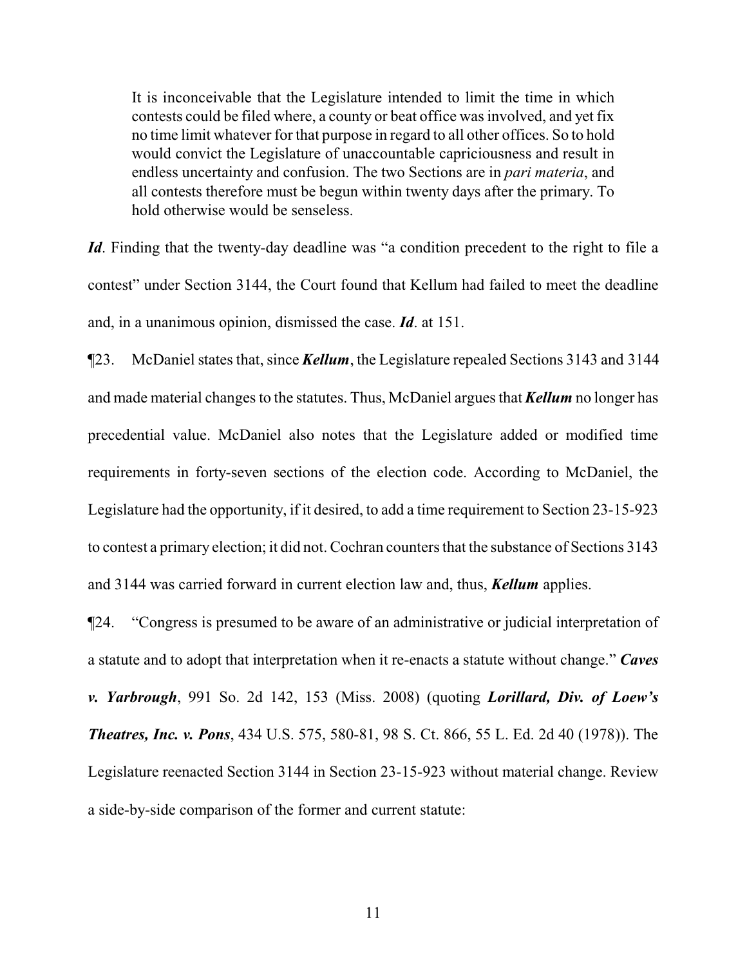It is inconceivable that the Legislature intended to limit the time in which contests could be filed where, a county or beat office was involved, and yet fix no time limit whatever for that purpose in regard to all other offices. So to hold would convict the Legislature of unaccountable capriciousness and result in endless uncertainty and confusion. The two Sections are in *pari materia*, and all contests therefore must be begun within twenty days after the primary. To hold otherwise would be senseless.

*Id*. Finding that the twenty-day deadline was "a condition precedent to the right to file a contest" under Section 3144, the Court found that Kellum had failed to meet the deadline and, in a unanimous opinion, dismissed the case. *Id*. at 151.

¶23. McDaniel states that, since *Kellum*, the Legislature repealed Sections 3143 and 3144 and made material changes to the statutes. Thus, McDaniel argues that *Kellum* no longer has precedential value. McDaniel also notes that the Legislature added or modified time requirements in forty-seven sections of the election code. According to McDaniel, the Legislature had the opportunity, if it desired, to add a time requirement to Section 23-15-923 to contest a primary election; it did not. Cochran counters that the substance of Sections 3143 and 3144 was carried forward in current election law and, thus, *Kellum* applies.

¶24. "Congress is presumed to be aware of an administrative or judicial interpretation of a statute and to adopt that interpretation when it re-enacts a statute without change." *Caves v. Yarbrough*, 991 So. 2d 142, 153 (Miss. 2008) (quoting *Lorillard, Div. of Loew's Theatres, Inc. v. Pons*, 434 U.S. 575, 580-81, 98 S. Ct. 866, 55 L. Ed. 2d 40 (1978)). The Legislature reenacted Section 3144 in Section 23-15-923 without material change. Review a side-by-side comparison of the former and current statute: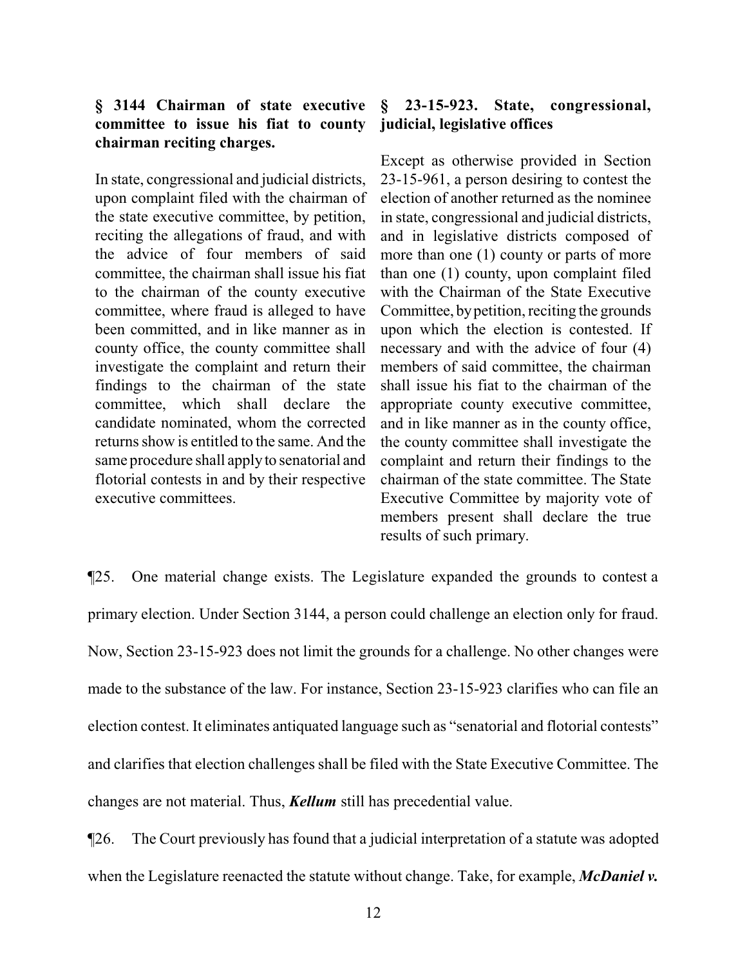# **§ 3144 Chairman of state executive committee to issue his fiat to county chairman reciting charges.**

In state, congressional and judicial districts, upon complaint filed with the chairman of the state executive committee, by petition, reciting the allegations of fraud, and with the advice of four members of said committee, the chairman shall issue his fiat to the chairman of the county executive committee, where fraud is alleged to have been committed, and in like manner as in county office, the county committee shall investigate the complaint and return their findings to the chairman of the state committee, which shall declare the candidate nominated, whom the corrected returns show is entitled to the same. And the same procedure shall apply to senatorial and flotorial contests in and by their respective executive committees.

# **§ 23-15-923. State, congressional, judicial, legislative offices**

Except as otherwise provided in Section 23-15-961, a person desiring to contest the election of another returned as the nominee in state, congressional and judicial districts, and in legislative districts composed of more than one (1) county or parts of more than one (1) county, upon complaint filed with the Chairman of the State Executive Committee, bypetition, reciting the grounds upon which the election is contested. If necessary and with the advice of four (4) members of said committee, the chairman shall issue his fiat to the chairman of the appropriate county executive committee, and in like manner as in the county office, the county committee shall investigate the complaint and return their findings to the chairman of the state committee. The State Executive Committee by majority vote of members present shall declare the true results of such primary.

¶25. One material change exists. The Legislature expanded the grounds to contest a primary election. Under Section 3144, a person could challenge an election only for fraud. Now, Section 23-15-923 does not limit the grounds for a challenge. No other changes were made to the substance of the law. For instance, Section 23-15-923 clarifies who can file an election contest. It eliminates antiquated language such as "senatorial and flotorial contests" and clarifies that election challenges shall be filed with the State Executive Committee. The changes are not material. Thus, *Kellum* still has precedential value.

¶26. The Court previously has found that a judicial interpretation of a statute was adopted when the Legislature reenacted the statute without change. Take, for example, *McDaniel v.*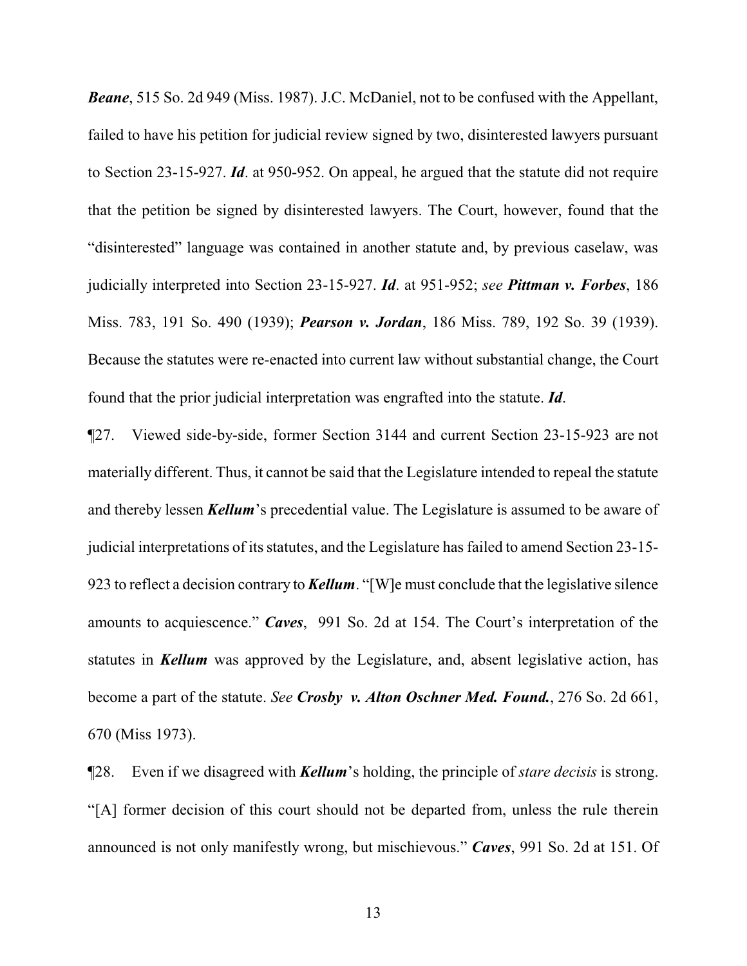*Beane*, 515 So. 2d 949 (Miss. 1987). J.C. McDaniel, not to be confused with the Appellant, failed to have his petition for judicial review signed by two, disinterested lawyers pursuant to Section 23-15-927. *Id*. at 950-952. On appeal, he argued that the statute did not require that the petition be signed by disinterested lawyers. The Court, however, found that the "disinterested" language was contained in another statute and, by previous caselaw, was judicially interpreted into Section 23-15-927. *Id*. at 951-952; *see Pittman v. Forbes*, 186 Miss. 783, 191 So. 490 (1939); *Pearson v. Jordan*, 186 Miss. 789, 192 So. 39 (1939). Because the statutes were re-enacted into current law without substantial change, the Court found that the prior judicial interpretation was engrafted into the statute. *Id*.

¶27. Viewed side-by-side, former Section 3144 and current Section 23-15-923 are not materially different. Thus, it cannot be said that the Legislature intended to repeal the statute and thereby lessen *Kellum*'s precedential value. The Legislature is assumed to be aware of judicial interpretations of its statutes, and the Legislature has failed to amend Section 23-15- 923 to reflect a decision contrary to *Kellum*. "[W]e must conclude that the legislative silence amounts to acquiescence." *Caves*, 991 So. 2d at 154. The Court's interpretation of the statutes in *Kellum* was approved by the Legislature, and, absent legislative action, has become a part of the statute. *See Crosby v. Alton Oschner Med. Found.*, 276 So. 2d 661, 670 (Miss 1973).

¶28. Even if we disagreed with *Kellum*'s holding, the principle of *stare decisis* is strong. "[A] former decision of this court should not be departed from, unless the rule therein announced is not only manifestly wrong, but mischievous." *Caves*, 991 So. 2d at 151. Of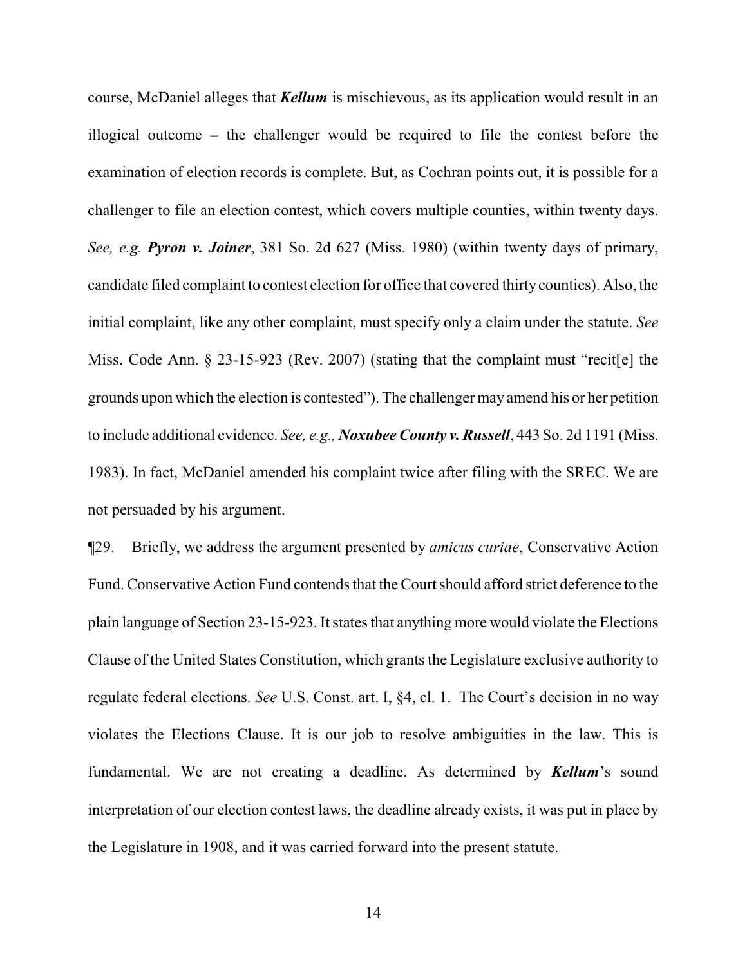course, McDaniel alleges that *Kellum* is mischievous, as its application would result in an illogical outcome – the challenger would be required to file the contest before the examination of election records is complete. But, as Cochran points out, it is possible for a challenger to file an election contest, which covers multiple counties, within twenty days. *See, e.g. Pyron v. Joiner*, 381 So. 2d 627 (Miss. 1980) (within twenty days of primary, candidate filed complaint to contest election for office that covered thirtycounties). Also, the initial complaint, like any other complaint, must specify only a claim under the statute. *See* Miss. Code Ann. § 23-15-923 (Rev. 2007) (stating that the complaint must "recit[e] the grounds upon which the election is contested"). The challenger may amend his or her petition to include additional evidence. *See, e.g., Noxubee County v. Russell*, 443 So. 2d 1191 (Miss. 1983). In fact, McDaniel amended his complaint twice after filing with the SREC. We are not persuaded by his argument.

¶29. Briefly, we address the argument presented by *amicus curiae*, Conservative Action Fund. Conservative Action Fund contends that the Court should afford strict deference to the plain language of Section 23-15-923. It states that anything more would violate the Elections Clause of the United States Constitution, which grants the Legislature exclusive authority to regulate federal elections. *See* U.S. Const. art. I, §4, cl. 1. The Court's decision in no way violates the Elections Clause. It is our job to resolve ambiguities in the law. This is fundamental. We are not creating a deadline. As determined by *Kellum*'s sound interpretation of our election contest laws, the deadline already exists, it was put in place by the Legislature in 1908, and it was carried forward into the present statute.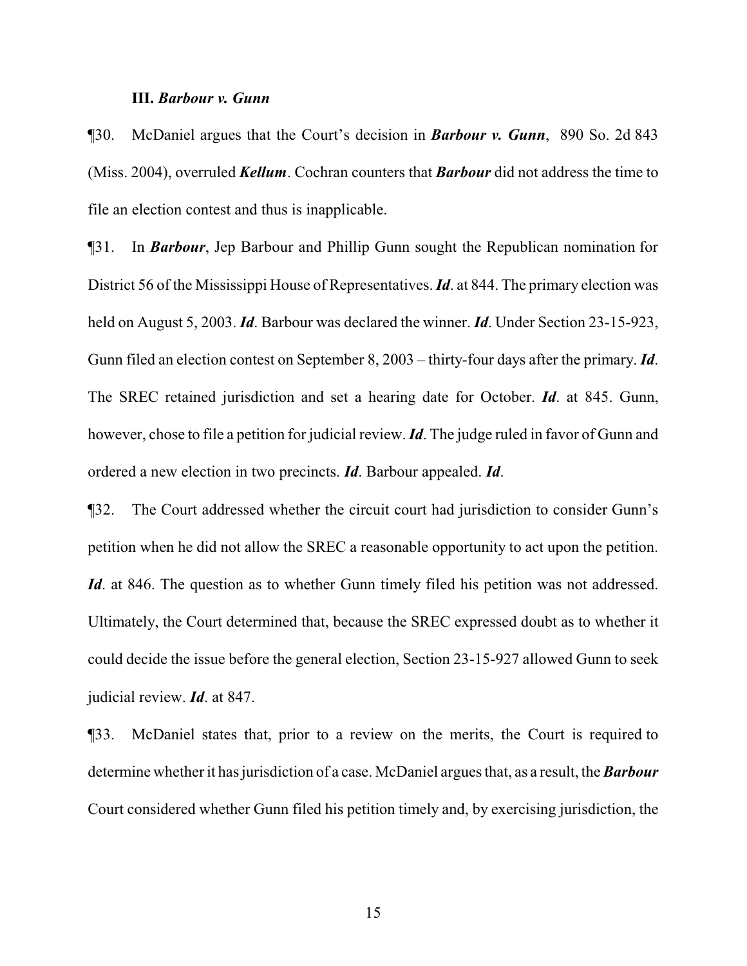#### **III.** *Barbour v. Gunn*

¶30. McDaniel argues that the Court's decision in *Barbour v. Gunn*, 890 So. 2d 843 (Miss. 2004), overruled *Kellum*. Cochran counters that *Barbour* did not address the time to file an election contest and thus is inapplicable.

¶31. In *Barbour*, Jep Barbour and Phillip Gunn sought the Republican nomination for District 56 of the Mississippi House of Representatives. *Id*. at 844. The primary election was held on August 5, 2003. *Id*. Barbour was declared the winner. *Id*. Under Section 23-15-923, Gunn filed an election contest on September 8, 2003 – thirty-four days after the primary. *Id*. The SREC retained jurisdiction and set a hearing date for October. *Id*. at 845. Gunn, however, chose to file a petition for judicial review. *Id*. The judge ruled in favor of Gunn and ordered a new election in two precincts. *Id*. Barbour appealed. *Id*.

¶32. The Court addressed whether the circuit court had jurisdiction to consider Gunn's petition when he did not allow the SREC a reasonable opportunity to act upon the petition. *Id.* at 846. The question as to whether Gunn timely filed his petition was not addressed. Ultimately, the Court determined that, because the SREC expressed doubt as to whether it could decide the issue before the general election, Section 23-15-927 allowed Gunn to seek judicial review. *Id*. at 847.

¶33. McDaniel states that, prior to a review on the merits, the Court is required to determine whether it has jurisdiction of a case. McDaniel argues that, as a result, the *Barbour* Court considered whether Gunn filed his petition timely and, by exercising jurisdiction, the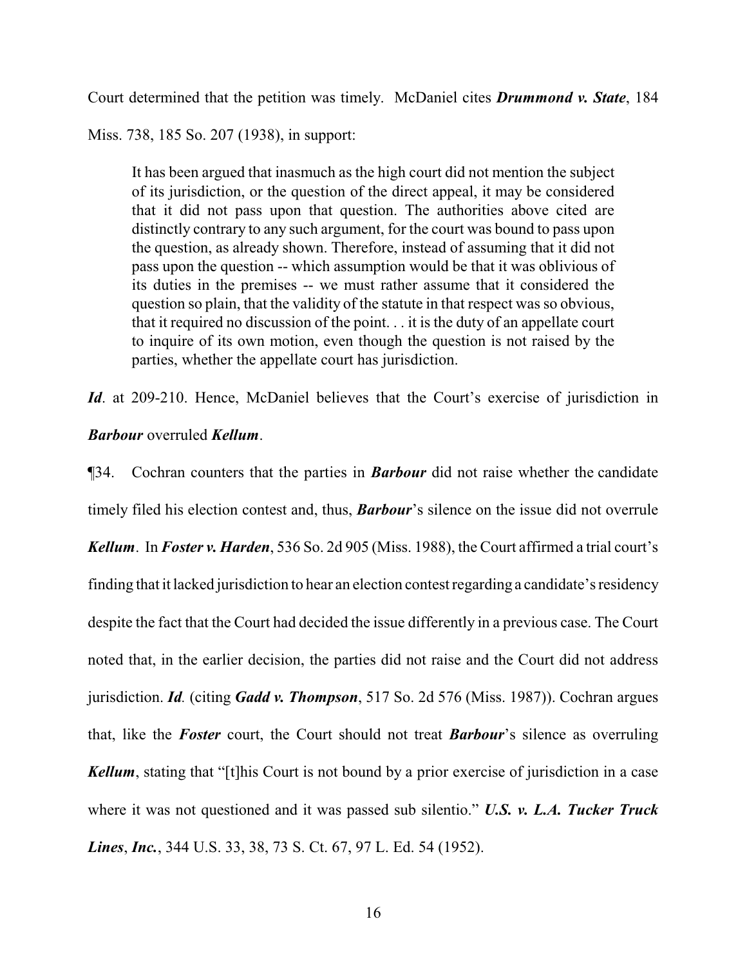Court determined that the petition was timely. McDaniel cites *Drummond v. State*, 184

Miss. 738, 185 So. 207 (1938), in support:

It has been argued that inasmuch as the high court did not mention the subject of its jurisdiction, or the question of the direct appeal, it may be considered that it did not pass upon that question. The authorities above cited are distinctly contrary to any such argument, for the court was bound to pass upon the question, as already shown. Therefore, instead of assuming that it did not pass upon the question -- which assumption would be that it was oblivious of its duties in the premises -- we must rather assume that it considered the question so plain, that the validity of the statute in that respect was so obvious, that it required no discussion of the point. . . it is the duty of an appellate court to inquire of its own motion, even though the question is not raised by the parties, whether the appellate court has jurisdiction.

*Id.* at 209-210. Hence, McDaniel believes that the Court's exercise of jurisdiction in

# *Barbour* overruled *Kellum*.

¶34. Cochran counters that the parties in *Barbour* did not raise whether the candidate timely filed his election contest and, thus, *Barbour*'s silence on the issue did not overrule *Kellum*. In *Foster v. Harden*, 536 So. 2d 905 (Miss. 1988), the Court affirmed a trial court's finding that it lacked jurisdiction to hear an election contest regarding a candidate's residency despite the fact that the Court had decided the issue differently in a previous case. The Court noted that, in the earlier decision, the parties did not raise and the Court did not address jurisdiction. *Id.* (citing *Gadd v. Thompson*, 517 So. 2d 576 (Miss. 1987)). Cochran argues that, like the *Foster* court, the Court should not treat *Barbour*'s silence as overruling *Kellum*, stating that "[t]his Court is not bound by a prior exercise of jurisdiction in a case where it was not questioned and it was passed sub silentio." *U.S. v. L.A. Tucker Truck Lines*, *Inc.*, 344 U.S. 33, 38, 73 S. Ct. 67, 97 L. Ed. 54 (1952).